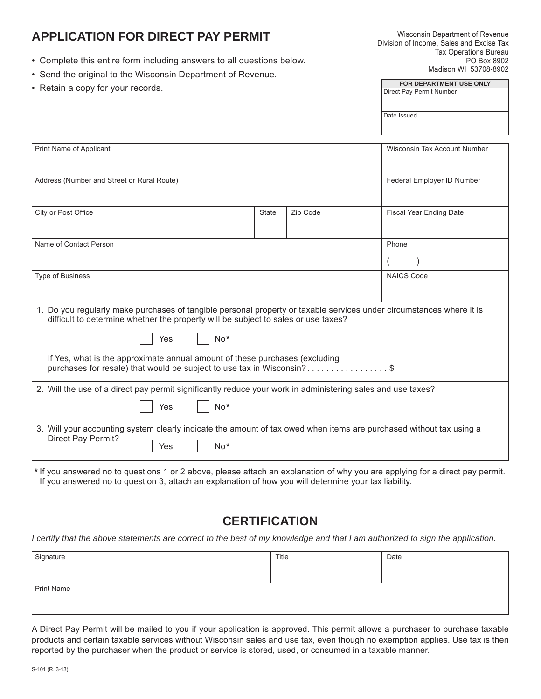# **APPLICATION FOR DIRECT PAY PERMIT**

- • Complete this entire form including answers to all questions below.
- Send the original to the Wisconsin Department of Revenue.
- Retain a copy for your records.

| <b>FOR DEPARTMENT USE ONLY</b> |
|--------------------------------|
| Direct Pay Permit Number       |
|                                |
|                                |
| Date Issued                    |

| Print Name of Applicant                                                                                                                                                                                    | Wisconsin Tax Account Number |          |                                |  |  |  |
|------------------------------------------------------------------------------------------------------------------------------------------------------------------------------------------------------------|------------------------------|----------|--------------------------------|--|--|--|
| Address (Number and Street or Rural Route)                                                                                                                                                                 | Federal Employer ID Number   |          |                                |  |  |  |
| City or Post Office                                                                                                                                                                                        | <b>State</b>                 | Zip Code | <b>Fiscal Year Ending Date</b> |  |  |  |
| Name of Contact Person                                                                                                                                                                                     | Phone                        |          |                                |  |  |  |
|                                                                                                                                                                                                            |                              |          |                                |  |  |  |
| <b>Type of Business</b>                                                                                                                                                                                    | <b>NAICS Code</b>            |          |                                |  |  |  |
|                                                                                                                                                                                                            |                              |          |                                |  |  |  |
| 1. Do you regularly make purchases of tangible personal property or taxable services under circumstances where it is<br>difficult to determine whether the property will be subject to sales or use taxes? |                              |          |                                |  |  |  |
| No*<br>Yes                                                                                                                                                                                                 |                              |          |                                |  |  |  |
| If Yes, what is the approximate annual amount of these purchases (excluding<br>purchases for resale) that would be subject to use tax in Wisconsin?\$                                                      |                              |          |                                |  |  |  |
| 2. Will the use of a direct pay permit significantly reduce your work in administering sales and use taxes?                                                                                                |                              |          |                                |  |  |  |
| $No*$<br>Yes                                                                                                                                                                                               |                              |          |                                |  |  |  |
| 3. Will your accounting system clearly indicate the amount of tax owed when items are purchased without tax using a<br>Direct Pay Permit?<br>$No*$<br>Yes                                                  |                              |          |                                |  |  |  |

**\*** If you answered no to questions 1 or 2 above, please attach an explanation of why you are applying for a direct pay permit. If you answered no to question 3, attach an explanation of how you will determine your tax liability.

## **CERTIFICATION**

*I certify that the above statements are correct to the best of my knowledge and that I am authorized to sign the application.*

| Signature         | Title | Date |  |  |  |  |
|-------------------|-------|------|--|--|--|--|
|                   |       |      |  |  |  |  |
| <b>Print Name</b> |       |      |  |  |  |  |
|                   |       |      |  |  |  |  |
|                   |       |      |  |  |  |  |

A Direct Pay Permit will be mailed to you if your application is approved. This permit allows a purchaser to purchase taxable products and certain taxable services without Wisconsin sales and use tax, even though no exemption applies. Use tax is then reported by the purchaser when the product or service is stored, used, or consumed in a taxable manner.